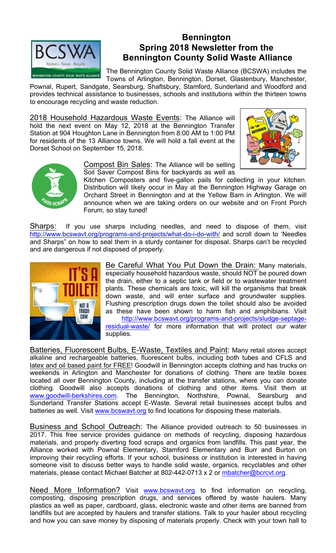

## **Bennington Spring 2018 Newsletter from the Bennington County Solid Waste Alliance**

The Bennington County Solid Waste Alliance (BCSWA) includes the Towns of Arlington, Bennington, Dorset, Glastenbury, Manchester,

Pownal, Rupert, Sandgate, Searsburg, Shaftsbury, Stamford, Sunderland and Woodford and provides technical assistance to businesses, schools and institutions within the thirteen towns to encourage recycling and waste reduction.

2018 Household Hazardous Waste Events: The Alliance will hold the next event on May 12, 2018 at the Bennington Transfer Station at 904 Houghton Lane in Bennington from 8:00 AM to 1:00 PM for residents of the 13 Alliance towns. We will hold a fall event at the Dorset School on September 15, 2018.





Compost Bin Sales: The Alliance will be selling Soil Saver Compost Bins for backyards as well as

Kitchen Composters and five-gallon pails for collecting in your kitchen. Distribution will likely occur in May at the Bennington Highway Garage on Orchard Street in Bennington and at the Yellow Barn in Arlington. We will announce when we are taking orders on our website and on Front Porch Forum, so stay tuned!

Sharps: If you use sharps including needles, and need to dispose of them, visit http://www.bcswavt.org/programs-and-projects/what-do-i-do-with/ and scroll down to 'Needles and Sharps" on how to seal them in a sturdy container for disposal. Sharps can't be recycled and are dangerous if not disposed of properly.



Be Careful What You Put Down the Drain: Many materials, especially household hazardous waste, should NOT be poured down the drain, either to a septic tank or field or to wastewater treatment plants. These chemicals are toxic, will kill the organisms that break down waste, and will enter surface and groundwater supplies. Flushing prescription drugs down the toilet should also be avoided as these have been shown to harm fish and amphibians. Visit

http://www.bcswavt.org/programs-and-projects/sludge-septageresidual-waste/ for more information that will protect our water supplies.

Batteries, Fluorescent Bulbs, E-Waste, Textiles and Paint: Many retail stores accept alkaline and rechargeable batteries, fluorescent bulbs, including both tubes and CFLS and latex and oil based paint for FREE! Goodwill in Bennington accepts clothing and has trucks on weekends in Arlington and Manchester for donations of clothing. There are textile boxes located all over Bennington County, including at the transfer stations, where you can donate clothing. Goodwill also accepts donations of clothing and other items. Visit them at www.goodwill-berkshires.com. The Bennington, Northshire, Pownal, Searsburg and Sunderland Transfer Stations accept E-Waste. Several retail businesses accept bulbs and batteries as well. Visit www.bcswavt.org to find locations for disposing these materials.

Business and School Outreach: The Alliance provided outreach to 50 businesses in 2017. This free service provides guidance on methods of recycling, disposing hazardous materials, and properly diverting food scraps and organics from landfills. This past year, the Alliance worked with Pownal Elementary, Stamford Elementary and Burr and Burton on improving their recycling efforts. If your school, business or institution is interested in having someone visit to discuss better ways to handle solid waste, organics, recyclables and other materials, please contact Michael Batcher at 802-442-0713 x 2 or mbatcher@bcrcvt.org.

Need More Information? Visit www.bcswavt.org to find information on recycling, composting, disposing prescription drugs, and services offered by waste haulers. Many plastics as well as paper, cardboard, glass, electronic waste and other items are banned from landfills but are accepted by haulers and transfer stations. Talk to your hauler about recycling and how you can save money by disposing of materials properly. Check with your town hall to